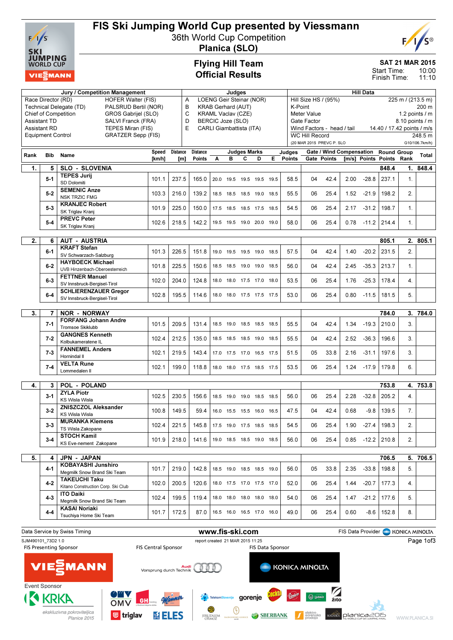

# FIS Ski Jumping World Cup presented by Viessmann

36th World Cup Competition



Planica (SLO)

### Flying Hill Team Official Results

## SAT 21 MAR 2015

10:00 11:10 Start Time: Finish Time:

|                                                 |                          | Jury / Competition Management                              |                                |                 |                 |                                | Judges                   |                          |                                           |                                        |                  |                       |                            |      | <b>Hill Data</b>         |                            |                |                           |
|-------------------------------------------------|--------------------------|------------------------------------------------------------|--------------------------------|-----------------|-----------------|--------------------------------|--------------------------|--------------------------|-------------------------------------------|----------------------------------------|------------------|-----------------------|----------------------------|------|--------------------------|----------------------------|----------------|---------------------------|
| Race Director (RD)                              |                          | <b>LOENG Geir Steinar (NOR)</b><br>Α                       |                                |                 |                 |                                |                          |                          | Hill Size HS / (95%)<br>225 m / (213.5 m) |                                        |                  |                       |                            |      |                          |                            |                |                           |
| Technical Delegate (TD)<br>PALSRUD Bertil (NOR) |                          |                                                            |                                |                 |                 | В<br><b>KRAB Gerhard (AUT)</b> |                          |                          |                                           |                                        |                  | K-Point<br>200 m      |                            |      |                          |                            |                |                           |
|                                                 |                          | Chief of Competition<br>GROS Gabrijel (SLO)                | C<br><b>KRAML Vaclav (CZE)</b> |                 |                 |                                |                          |                          |                                           | <b>Meter Value</b><br>1.2 points $/$ m |                  |                       |                            |      |                          |                            |                |                           |
|                                                 | <b>Assistant TD</b>      | SALVI Franck (FRA)                                         |                                | D               |                 |                                | BERCIC Joze (SLO)        |                          |                                           |                                        |                  | Gate Factor           |                            |      |                          |                            |                | 8.10 points / m           |
|                                                 | <b>Assistant RD</b>      | TEPES Miran (FIS)                                          |                                | E               |                 |                                | CARLI Giambattista (ITA) |                          |                                           |                                        |                  |                       | Wind Factors - head / tail |      |                          | 14.40 / 17.42 points / m/s |                |                           |
|                                                 | <b>Equipment Control</b> | <b>GRATZER Sepp (FIS)</b>                                  |                                |                 |                 |                                |                          |                          |                                           |                                        |                  | <b>WC Hill Record</b> | (20 MAR 2015 PREVC P. SLO  |      |                          |                            |                | 248.5 m<br>G10/106.7km/h) |
|                                                 |                          |                                                            |                                |                 |                 |                                |                          |                          |                                           |                                        |                  |                       |                            |      |                          |                            |                |                           |
| Rank                                            | <b>Bib</b>               | Name                                                       | Speed                          | <b>Distance</b> | <b>Distance</b> |                                | в                        | <b>Judges Marks</b><br>c |                                           | Е                                      | Judges<br>Points |                       | Gate / Wind Compensation   |      | [m/s] Points Points Rank | <b>Round Group</b>         |                | Total                     |
|                                                 |                          |                                                            | [km/h]                         | [m]             | Points          | A                              |                          |                          | D                                         |                                        |                  |                       | Gate Points                |      |                          |                            |                |                           |
| 1.                                              | 5                        | <b>SLO - SLOVENIA</b>                                      |                                |                 |                 |                                |                          |                          |                                           |                                        |                  |                       |                            |      |                          | 848.4                      | 1.             | 848.4                     |
|                                                 | $5 - 1$                  | <b>TEPES Jurij</b>                                         | 101.1                          | 237.5           | 165.0           |                                | 20.0 19.5 19.5 19.5      |                          |                                           | 19.5                                   | 58.5             | 04                    | 42.4                       | 2.00 | $-28.8$                  | 237.1                      | 1.             |                           |
|                                                 |                          | SD Dolomiti<br><b>SEMENIC Anze</b>                         |                                |                 |                 |                                |                          |                          |                                           |                                        |                  |                       |                            |      |                          |                            |                |                           |
|                                                 | $5 - 2$                  | <b>NSK TRZIC FMG</b>                                       | 103.3                          | 216.0           | 139.2           |                                | 18.5 18.5 18.5 19.0 18.5 |                          |                                           |                                        | 55.5             | 06                    | 25.4                       | 1.52 | $-21.9$                  | 198.2                      | 2.             |                           |
|                                                 |                          | <b>KRANJEC Robert</b>                                      |                                |                 |                 |                                |                          |                          |                                           |                                        |                  |                       |                            |      |                          |                            |                |                           |
|                                                 | $5-3$                    | SK Triglav Kranj                                           | 101.9                          | 225.0           | 150.0           |                                | 17.5 18.5 18.5 17.5 18.5 |                          |                                           |                                        | 54.5             | 06                    | 25.4                       | 2.17 | $-31.2$                  | 198.7                      | $\mathbf{1}$ . |                           |
|                                                 |                          | <b>PREVC Peter</b>                                         |                                |                 |                 |                                |                          |                          |                                           |                                        |                  |                       |                            |      |                          |                            |                |                           |
|                                                 | $5 - 4$                  | SK Triglav Kranj                                           | 102.6                          | 218.5           | 142.2           |                                | 19.5 19.5 19.0 20.0 19.0 |                          |                                           |                                        | 58.0             | 06                    | 25.4                       | 0.78 | $-11.2$                  | 214.4                      | 1.             |                           |
|                                                 |                          |                                                            |                                |                 |                 |                                |                          |                          |                                           |                                        |                  |                       |                            |      |                          |                            |                |                           |
| 2.                                              | 6                        | <b>AUT - AUSTRIA</b>                                       |                                |                 |                 |                                |                          |                          |                                           |                                        |                  |                       |                            |      |                          | 805.1                      |                | 2.805.1                   |
|                                                 | $6 - 1$                  | <b>KRAFT Stefan</b>                                        | 101.3                          | 226.5           | 151.8           |                                | 19.0 19.5 19.5 19.0      |                          |                                           | 18.5                                   | 57.5             | 04                    | 42.4                       | 1.40 | $-20.2$                  | 231.5                      | 2.             |                           |
|                                                 |                          | SV Schwarzach-Salzburg                                     |                                |                 |                 |                                |                          |                          |                                           |                                        |                  |                       |                            |      |                          |                            |                |                           |
|                                                 | $6 - 2$                  | <b>HAYBOECK Michael</b><br>UVB Hinzenbach-Oberoesterreich  | 101.8                          | 225.5           | 150.6           |                                | 18.5 18.5 19.0 19.0      |                          |                                           | 18.5                                   | 56.0             | 04                    | 42.4                       | 2.45 | $-35.3$                  | 213.7                      | $\mathbf{1}$ . |                           |
|                                                 |                          | <b>FETTNER Manuel</b>                                      |                                |                 |                 |                                |                          |                          |                                           |                                        |                  |                       |                            |      |                          |                            |                |                           |
|                                                 | $6-3$                    | SV Innsbruck-Bergisel-Tirol                                | 102.0                          | 204.0           | 124.8           |                                | 18.0 18.0 17.5 17.0 18.0 |                          |                                           |                                        | 53.5             | 06                    | 25.4                       | 1.76 | $-25.3$                  | 178.4                      | 4.             |                           |
|                                                 |                          | <b>SCHLIERENZAUER Gregor</b>                               |                                |                 |                 |                                |                          |                          |                                           |                                        |                  |                       |                            |      |                          |                            |                |                           |
|                                                 | $6-4$                    | SV Innsbruck-Bergisel-Tirol                                | 102.8                          | 195.5           | 114.6           |                                | 18.0 18.0 17.5 17.5 17.5 |                          |                                           |                                        | 53.0             | 06                    | 25.4                       | 0.80 | $-11.5$                  | 181.5                      | 5.             |                           |
|                                                 |                          |                                                            |                                |                 |                 |                                |                          |                          |                                           |                                        |                  |                       |                            |      |                          |                            |                |                           |
| 3.                                              | 7                        | <b>NOR - NORWAY</b>                                        |                                |                 |                 |                                |                          |                          |                                           |                                        |                  |                       |                            |      |                          | 784.0                      | 3.             | 784.0                     |
|                                                 | $7 - 1$                  | <b>FORFANG Johann Andre</b>                                | 101.5                          | 209.5           | 131.4           |                                | 18.5 19.0 18.5 18.5      |                          |                                           | 18.5                                   | 55.5             | 04                    | 42.4                       | 1.34 | $-19.3$                  | 210.0                      | 3.             |                           |
|                                                 |                          | Tromsoe Skiklubb                                           |                                |                 |                 |                                |                          |                          |                                           |                                        |                  |                       |                            |      |                          |                            |                |                           |
|                                                 | $7 - 2$                  | <b>GANGNES Kenneth</b><br>Kolbukameratene IL               | 102.4                          | 212.5           | 135.0           |                                | 18.5 18.5 18.5 19.0      |                          |                                           | 18.5                                   | 55.5             | 04                    | 42.4                       | 2.52 | $-36.3$                  | 196.6                      | 3.             |                           |
|                                                 |                          | <b>FANNEMEL Anders</b>                                     |                                |                 |                 |                                |                          |                          |                                           |                                        |                  |                       |                            |      |                          |                            |                |                           |
|                                                 | $7 - 3$                  | Hornindal II                                               | 102.1                          | 219.5           | 143.4           |                                | 17.0 17.5 17.0 16.5 17.5 |                          |                                           |                                        | 51.5             | 05                    | 33.8                       | 2.16 | $-31.1$                  | 197.6                      | 3.             |                           |
|                                                 |                          | <b>VELTA Rune</b>                                          |                                |                 |                 |                                |                          |                          |                                           |                                        |                  |                       |                            |      |                          |                            |                |                           |
|                                                 | $7 - 4$                  | Lommedalen II                                              | 102.1                          | 199.0           | 118.8           |                                | 18.0 18.0 17.5 18.5 17.5 |                          |                                           |                                        | 53.5             | 06                    | 25.4                       | 1.24 | $-17.9$                  | 179.8                      | 6.             |                           |
|                                                 |                          |                                                            |                                |                 |                 |                                |                          |                          |                                           |                                        |                  |                       |                            |      |                          |                            |                |                           |
| 4.                                              | 3                        | <b>POL - POLAND</b>                                        |                                |                 |                 |                                |                          |                          |                                           |                                        |                  |                       |                            |      |                          | 753.8                      | 4.             | 753.8                     |
|                                                 | $3 - 1$                  | <b>ZYLA Piotr</b>                                          | 102.5                          | 230.5           | 156.6           |                                | 18.5 19.0 19.0 18.5      |                          |                                           | 18.5                                   | 56.0             | 06                    | 25.4                       | 2.28 | $-32.8$                  | 205.2                      | 4.             |                           |
|                                                 |                          | <b>KS Wisla Wisla</b>                                      |                                |                 |                 |                                |                          |                          |                                           |                                        |                  |                       |                            |      |                          |                            |                |                           |
|                                                 | $3 - 2$                  | ZNISZCZOL Aleksander<br><b>KS Wisla Wisla</b>              | 100.8                          | 149.5           | 59.4            |                                | 16.0 15.5 15.5 16.0      |                          |                                           | 16.5                                   | 47.5             | 04                    | 42.4                       | 0.68 | $-9.8$                   | 139.5                      | 7 <sub>1</sub> |                           |
|                                                 |                          | <b>MURANKA Klemens</b>                                     |                                |                 |                 |                                |                          |                          |                                           |                                        |                  |                       |                            |      |                          |                            |                |                           |
|                                                 | $3 - 3$                  | TS Wisla Zakopane                                          | 102.4                          | 221.5           | 145.8           |                                | 17.5 19.0 17.5 18.5 18.5 |                          |                                           |                                        | 54.5             | 06                    | 25.4                       | 1.90 | $-27.4$                  | 198.3                      | 2.             |                           |
|                                                 |                          | <b>STOCH Kamil</b>                                         |                                |                 |                 |                                |                          |                          |                                           |                                        |                  |                       |                            |      |                          |                            |                |                           |
|                                                 | 3-4                      | KS Eve-nement Zakopane                                     | 101.9                          | 218.0           | 141.6           |                                | 19.0 18.5 18.5 19.0 18.5 |                          |                                           |                                        | 56.0             | 06                    | 25.4                       |      | $0.85 -12.2$   210.8     |                            | 2.             |                           |
|                                                 |                          |                                                            |                                |                 |                 |                                |                          |                          |                                           |                                        |                  |                       |                            |      |                          |                            |                |                           |
| 5.                                              | 4                        | JPN - JAPAN                                                |                                |                 |                 |                                |                          |                          |                                           |                                        |                  |                       |                            |      |                          | 706.5                      |                | 5. 706.5                  |
|                                                 | 4-1                      | <b>KOBAYASHI Junshiro</b>                                  | 101.7                          | 219.0           | 142.8           |                                | 18.5 19.0 18.5 18.5 19.0 |                          |                                           |                                        | 56.0             | 05                    | 33.8                       | 2.35 | $-33.8$                  | 198.8                      | 5.             |                           |
|                                                 |                          | Megmilk Snow Brand Ski Team                                |                                |                 |                 |                                |                          |                          |                                           |                                        |                  |                       |                            |      |                          |                            |                |                           |
|                                                 | $4 - 2$                  | <b>TAKEUCHI Taku</b><br>Kitano Construction Corp. Ski Club | 102.0                          | 200.5           | 120.6           |                                | 18.0 17.5 17.0 17.5 17.0 |                          |                                           |                                        | 52.0             | 06                    | 25.4                       | 1.44 | $-20.7$                  | 177.3                      | 4.             |                           |
|                                                 |                          | <b>ITO Daiki</b>                                           |                                |                 |                 |                                |                          |                          |                                           |                                        |                  |                       |                            |      |                          |                            |                |                           |
|                                                 | $4 - 3$                  | Megmilk Snow Brand Ski Team                                | 102.4                          | 199.5           | 119.4           |                                | 18.0 18.0 18.0 18.0 18.0 |                          |                                           |                                        | 54.0             | 06                    | 25.4                       |      | $1.47 - 21.2$ 177.6      |                            | 5.             |                           |
|                                                 |                          | <b>KASAI Noriaki</b>                                       |                                |                 |                 |                                |                          |                          |                                           |                                        |                  |                       |                            |      |                          |                            |                |                           |
|                                                 | $4 - 4$                  | Tsuchiya Home Ski Team                                     | 101.7                          | 172.5           | 87.0            |                                | 16.5 16.0 16.5 17.0 16.0 |                          |                                           |                                        | 49.0             | 06                    | 25.4                       | 0.60 |                          | $-8.6$   152.8             | 8.             |                           |
|                                                 |                          |                                                            |                                |                 |                 |                                |                          |                          |                                           |                                        |                  |                       |                            |      |                          |                            |                |                           |

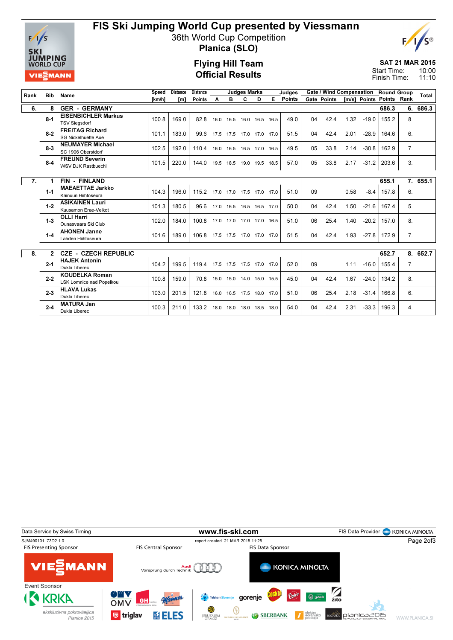

# FIS Ski Jumping World Cup presented by Viessmann

36th World Cup Competition



Planica (SLO)

#### Flying Hill Team Official Results

#### SAT 21 MAR 2015 10:00 Start Time:

11:10 Finish Time:

| Rank | <b>Bib</b>   | Name                                                     | <b>Speed</b>  | <b>Distance</b> | <b>Distance</b> |      |      | <b>Judges Marks</b>      |   |      | Judges |    | <b>Gate / Wind Compensation</b> |      |                          | <b>Round Group</b> |                  | Total    |
|------|--------------|----------------------------------------------------------|---------------|-----------------|-----------------|------|------|--------------------------|---|------|--------|----|---------------------------------|------|--------------------------|--------------------|------------------|----------|
|      |              |                                                          | <b>Tkm/h1</b> | [m]             | <b>Points</b>   | A    | в    | C                        | D | E    | Points |    | Gate Points                     |      | [m/s] Points Points Rank |                    |                  |          |
| 6.   | 8            | <b>GER - GERMANY</b>                                     |               |                 |                 |      |      |                          |   |      |        |    |                                 |      |                          | 686.3              | 6.               | 686.3    |
|      | $8 - 1$      | <b>EISENBICHLER Markus</b><br><b>TSV Siegsdorf</b>       | 100.8         | 169.0           | 82.8            | 16.0 |      | 16.5 16.0 16.5 16.5      |   |      | 49.0   | 04 | 42.4                            | 1.32 | $-19.0$                  | 155.2              | 8.               |          |
|      | $8 - 2$      | <b>FREITAG Richard</b><br>SG Nickelhuette Aue            | 101.1         | 183.0           | 99.6            |      |      | 17.5 17.5 17.0 17.0 17.0 |   |      | 51.5   | 04 | 42.4                            | 2.01 | $-28.9$                  | 164.6              | 6.               |          |
|      | $8 - 3$      | <b>NEUMAYER Michael</b><br>SC 1906 Oberstdorf            | 102.5         | 192.0           | 110.4           | 16.0 |      | 16.5 16.5 17.0           |   | 16.5 | 49.5   | 05 | 33.8                            | 2.14 | $-30.8$                  | 162.9              | 7 <sub>1</sub>   |          |
|      | $8-4$        | <b>FREUND Severin</b><br><b>WSV DJK Rastbuechl</b>       | 101.5         | 220.0           | 144.0           | 19.5 | 18.5 | 19.0 19.5                |   | 18.5 | 57.0   | 05 | 33.8                            | 2.17 | $-31.2$                  | 203.6              | 3 <sub>1</sub>   |          |
|      |              |                                                          |               |                 |                 |      |      |                          |   |      |        |    |                                 |      |                          |                    |                  |          |
| 7.   |              | <b>FIN - FINLAND</b>                                     |               |                 |                 |      |      |                          |   |      |        |    |                                 |      |                          | 655.1              |                  | 7. 655.1 |
|      | $1 - 1$      | <b>MAEAETTAE Jarkko</b><br>Kainuun Hiihtoseura           | 104.3         | 196.0           | 115.2           | 17.0 |      | 17.0 17.5 17.0 17.0      |   |      | 51.0   | 09 |                                 | 0.58 | $-8.4$                   | 157.8              | 6.               |          |
|      | $1 - 2$      | <b>ASIKAINEN Lauri</b><br>Kuusamon Erae-Veikot           | 101.3         | 180.5           | 96.6            | 17.0 |      | 16.5 16.5 16.5 17.0      |   |      | 50.0   | 04 | 42.4                            | 1.50 | $-21.6$                  | 167.4              | 5.               |          |
|      | $1 - 3$      | <b>OLLI Harri</b><br>Qunasyaara Ski Club                 | 102.0         | 184.0           | 100.8           | 17.0 |      | 17.0 17.0 17.0           |   | 16.5 | 51.0   | 06 | 25.4                            | 1.40 | $-20.2$                  | 157.0              | 8.               |          |
|      | $1 - 4$      | <b>AHONEN Janne</b><br>Lahden Hiihtoseura                | 101.6         | 189.0           | 106.8           |      |      | 17.5 17.5 17.0 17.0      |   | 17.0 | 51.5   | 04 | 42.4                            | 1.93 | $-27.8$                  | 172.9              | 7 <sub>1</sub>   |          |
|      |              |                                                          |               |                 |                 |      |      |                          |   |      |        |    |                                 |      |                          |                    |                  |          |
| 8.   | $\mathbf{2}$ | <b>CZE - CZECH REPUBLIC</b>                              |               |                 |                 |      |      |                          |   |      | 652.7  |    | 8. 652.7                        |      |                          |                    |                  |          |
|      | $2 - 1$      | <b>HAJEK Antonin</b><br>Dukla Liberec                    | 104.2         | 199.5           | 119.4           |      |      | 17.5 17.5 17.5 17.0 17.0 |   |      | 52.0   | 09 |                                 | 1.11 | $-16.0$                  | 155.4              | 7 <sub>1</sub>   |          |
|      | $2 - 2$      | <b>KOUDELKA Roman</b><br><b>LSK Lomnice nad Popelkou</b> | 100.8         | 159.0           | 70.8            | 15.0 |      | 15.0 14.0 15.0 15.5      |   |      | 45.0   | 04 | 42.4                            | 1.67 | $-24.0$                  | 134.2              | 8.               |          |
|      | $2 - 3$      | <b>HLAVA Lukas</b><br>Dukla Liberec                      | 103.0         | 201.5           | 121.8           | 16.0 | 16.5 | 17.5 18.0                |   | 17.0 | 51.0   | 06 | 25.4                            | 2.18 | $-31.4$                  | 166.8              | 6.               |          |
|      | $2 - 4$      | <b>MATURA Jan</b><br>Dukla Liberec                       | 100.3         | 211.0           | 133.2           | 18.0 |      | 18.0 18.0 18.5           |   | 18.0 | 54.0   | 04 | 42.4                            | 2.31 | $-33.3$                  | 196.3              | $\overline{4}$ . |          |